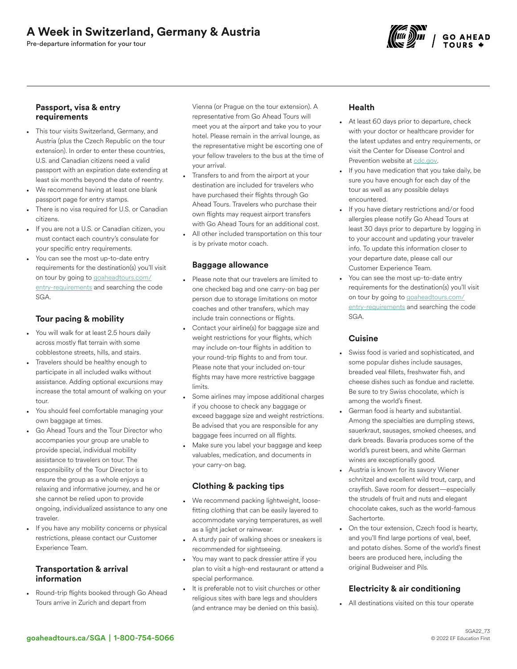# A Week in Switzerland, Germany & Austria

Pre-departure information for your tour



#### Passport, visa & entry requirements

- This tour visits Switzerland, Germany, and Austria (plus the Czech Republic on the tour extension). In order to enter these countries, U.S. and Canadian citizens need a valid passport with an expiration date extending at least six months beyond the date of reentry.
- We recommend having at least one blank passport page for entry stamps.
- There is no visa required for U.S. or Canadian citizens.
- If you are not a U.S. or Canadian citizen, you must contact each country's consulate for your specific entry requirements.
- You can see the most up-to-date entry requirements for the destination(s) you'll visit on tour by going to [goaheadtours.com/](/entry-requirements?tourCode=SGA) [entry-requirements](/entry-requirements?tourCode=SGA) and searching the code SGA.

## Tour pacing & mobility

- You will walk for at least 2.5 hours daily across mostly flat terrain with some cobblestone streets, hills, and stairs.
- Travelers should be healthy enough to participate in all included walks without assistance. Adding optional excursions may increase the total amount of walking on your tour.
- You should feel comfortable managing your own baggage at times.
- Go Ahead Tours and the Tour Director who accompanies your group are unable to provide special, individual mobility assistance to travelers on tour. The responsibility of the Tour Director is to ensure the group as a whole enjoys a relaxing and informative journey, and he or she cannot be relied upon to provide ongoing, individualized assistance to any one traveler.
- If you have any mobility concerns or physical restrictions, please contact our Customer Experience Team.

#### Transportation & arrival information

• Round-trip flights booked through Go Ahead Tours arrive in Zurich and depart from

Vienna (or Prague on the tour extension). A representative from Go Ahead Tours will meet you at the airport and take you to your hotel. Please remain in the arrival lounge, as the representative might be escorting one of your fellow travelers to the bus at the time of your arrival.

- Transfers to and from the airport at your destination are included for travelers who have purchased their flights through Go Ahead Tours. Travelers who purchase their own flights may request airport transfers with Go Ahead Tours for an additional cost.
- All other included transportation on this tour is by private motor coach.

## Baggage allowance

- Please note that our travelers are limited to one checked bag and one carry-on bag per person due to storage limitations on motor coaches and other transfers, which may include train connections or flights.
- Contact your airline(s) for baggage size and weight restrictions for your flights, which may include on-tour flights in addition to your round-trip flights to and from tour. Please note that your included on-tour flights may have more restrictive baggage limits.
- Some airlines may impose additional charges if you choose to check any baggage or exceed baggage size and weight restrictions. Be advised that you are responsible for any baggage fees incurred on all flights.
- Make sure you label your baggage and keep valuables, medication, and documents in your carry-on bag.

## Clothing & packing tips

- We recommend packing lightweight, loosefitting clothing that can be easily layered to accommodate varying temperatures, as well as a light jacket or rainwear.
- A sturdy pair of walking shoes or sneakers is recommended for sightseeing.
- You may want to pack dressier attire if you plan to visit a high-end restaurant or attend a special performance.
- It is preferable not to visit churches or other religious sites with bare legs and shoulders (and entrance may be denied on this basis).

## Health

- At least 60 days prior to departure, check with your doctor or healthcare provider for the latest updates and entry requirements, or visit the Center for Disease Control and Prevention website at [cdc.gov.](https://www/cdc.gov)
- If you have medication that you take daily, be sure you have enough for each day of the tour as well as any possible delays encountered.
- If you have dietary restrictions and/or food allergies please notify Go Ahead Tours at least 30 days prior to departure by logging in to your account and updating your traveler info. To update this information closer to your departure date, please call our Customer Experience Team.
- You can see the most up-to-date entry requirements for the destination(s) you'll visit on tour by going to [goaheadtours.com/](/entry-requirements?tourCode=SGA) [entry-requirements](/entry-requirements?tourCode=SGA) and searching the code SGA.

#### **Cuisine**

- Swiss food is varied and sophisticated, and some popular dishes include sausages, breaded veal fillets, freshwater fish, and cheese dishes such as fondue and raclette. Be sure to try Swiss chocolate, which is among the world's finest.
- German food is hearty and substantial. Among the specialties are dumpling stews, sauerkraut, sausages, smoked cheeses, and dark breads. Bavaria produces some of the world's purest beers, and white German wines are exceptionally good.
- Austria is known for its savory Wiener schnitzel and excellent wild trout, carp, and crayfish. Save room for dessert—especially the strudels of fruit and nuts and elegant chocolate cakes, such as the world-famous Sachertorte.
- On the tour extension, Czech food is hearty, and you'll find large portions of veal, beef, and potato dishes. Some of the world's finest beers are produced here, including the original Budweiser and Pils.

## Electricity & air conditioning

• All destinations visited on this tour operate